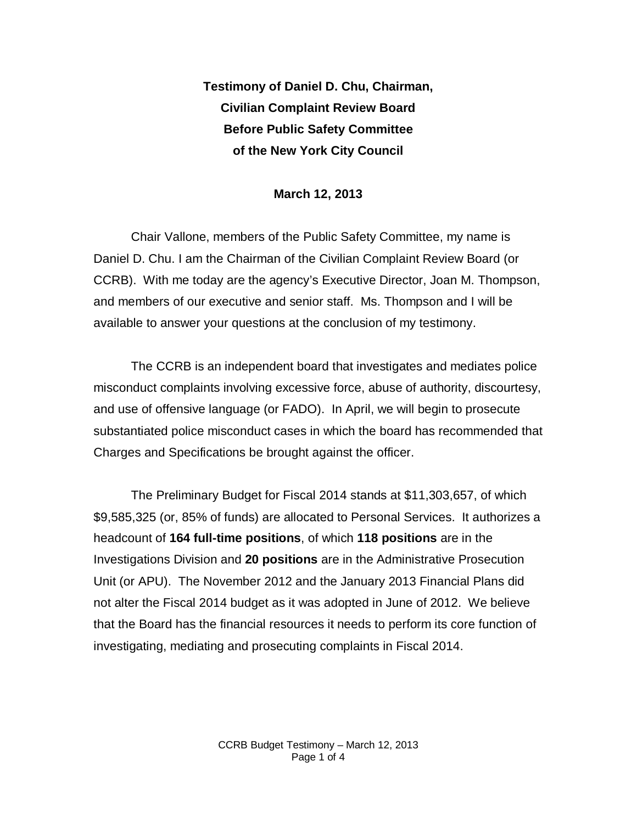**Testimony of Daniel D. Chu, Chairman, Civilian Complaint Review Board Before Public Safety Committee of the New York City Council**

## **March 12, 2013**

Chair Vallone, members of the Public Safety Committee, my name is Daniel D. Chu. I am the Chairman of the Civilian Complaint Review Board (or CCRB). With me today are the agency's Executive Director, Joan M. Thompson, and members of our executive and senior staff. Ms. Thompson and I will be available to answer your questions at the conclusion of my testimony.

The CCRB is an independent board that investigates and mediates police misconduct complaints involving excessive force, abuse of authority, discourtesy, and use of offensive language (or FADO). In April, we will begin to prosecute substantiated police misconduct cases in which the board has recommended that Charges and Specifications be brought against the officer.

The Preliminary Budget for Fiscal 2014 stands at \$11,303,657, of which \$9,585,325 (or, 85% of funds) are allocated to Personal Services. It authorizes a headcount of **164 full-time positions**, of which **118 positions** are in the Investigations Division and **20 positions** are in the Administrative Prosecution Unit (or APU). The November 2012 and the January 2013 Financial Plans did not alter the Fiscal 2014 budget as it was adopted in June of 2012. We believe that the Board has the financial resources it needs to perform its core function of investigating, mediating and prosecuting complaints in Fiscal 2014.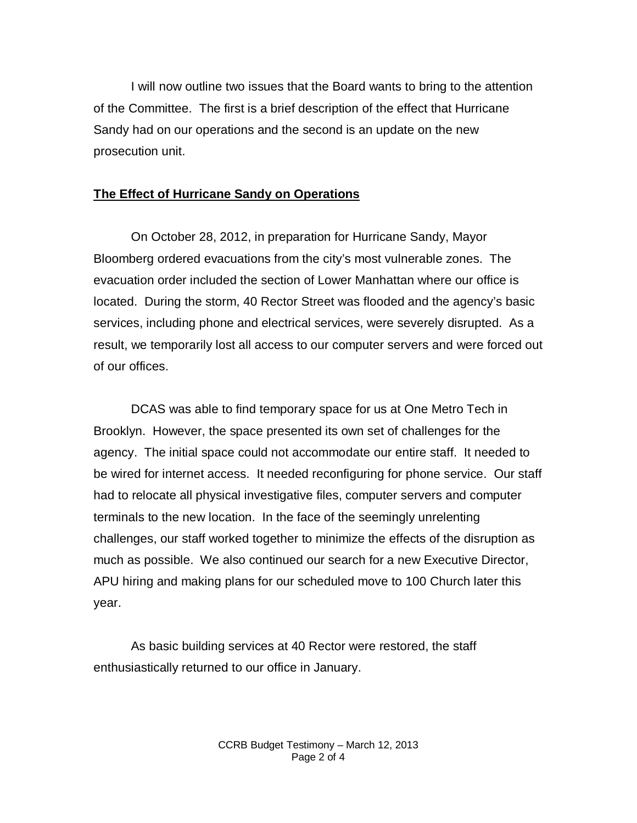I will now outline two issues that the Board wants to bring to the attention of the Committee. The first is a brief description of the effect that Hurricane Sandy had on our operations and the second is an update on the new prosecution unit.

## **The Effect of Hurricane Sandy on Operations**

On October 28, 2012, in preparation for Hurricane Sandy, Mayor Bloomberg ordered evacuations from the city's most vulnerable zones. The evacuation order included the section of Lower Manhattan where our office is located. During the storm, 40 Rector Street was flooded and the agency's basic services, including phone and electrical services, were severely disrupted. As a result, we temporarily lost all access to our computer servers and were forced out of our offices.

DCAS was able to find temporary space for us at One Metro Tech in Brooklyn. However, the space presented its own set of challenges for the agency. The initial space could not accommodate our entire staff. It needed to be wired for internet access. It needed reconfiguring for phone service. Our staff had to relocate all physical investigative files, computer servers and computer terminals to the new location. In the face of the seemingly unrelenting challenges, our staff worked together to minimize the effects of the disruption as much as possible. We also continued our search for a new Executive Director, APU hiring and making plans for our scheduled move to 100 Church later this year.

As basic building services at 40 Rector were restored, the staff enthusiastically returned to our office in January.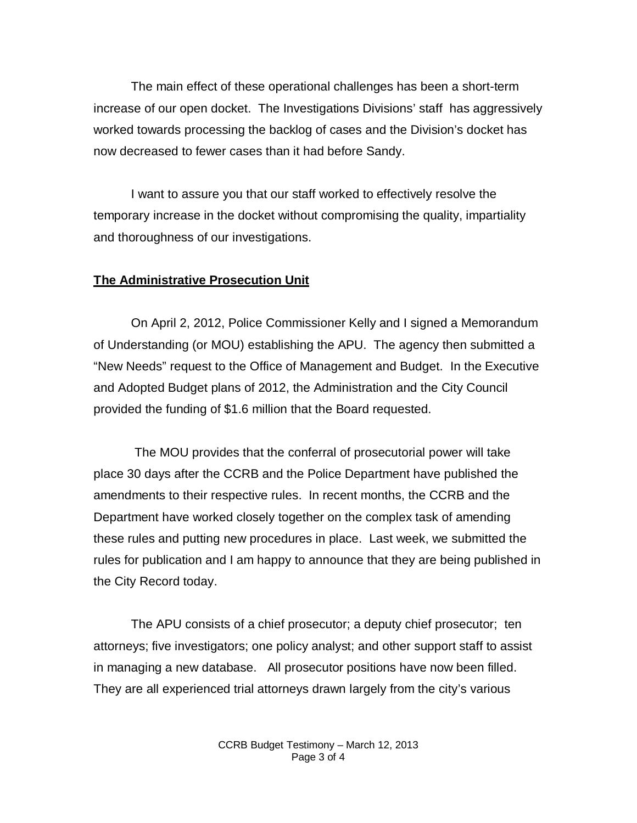The main effect of these operational challenges has been a short-term increase of our open docket. The Investigations Divisions' staff has aggressively worked towards processing the backlog of cases and the Division's docket has now decreased to fewer cases than it had before Sandy.

I want to assure you that our staff worked to effectively resolve the temporary increase in the docket without compromising the quality, impartiality and thoroughness of our investigations.

## **The Administrative Prosecution Unit**

On April 2, 2012, Police Commissioner Kelly and I signed a Memorandum of Understanding (or MOU) establishing the APU. The agency then submitted a "New Needs" request to the Office of Management and Budget. In the Executive and Adopted Budget plans of 2012, the Administration and the City Council provided the funding of \$1.6 million that the Board requested.

The MOU provides that the conferral of prosecutorial power will take place 30 days after the CCRB and the Police Department have published the amendments to their respective rules. In recent months, the CCRB and the Department have worked closely together on the complex task of amending these rules and putting new procedures in place. Last week, we submitted the rules for publication and I am happy to announce that they are being published in the City Record today.

The APU consists of a chief prosecutor; a deputy chief prosecutor; ten attorneys; five investigators; one policy analyst; and other support staff to assist in managing a new database. All prosecutor positions have now been filled. They are all experienced trial attorneys drawn largely from the city's various